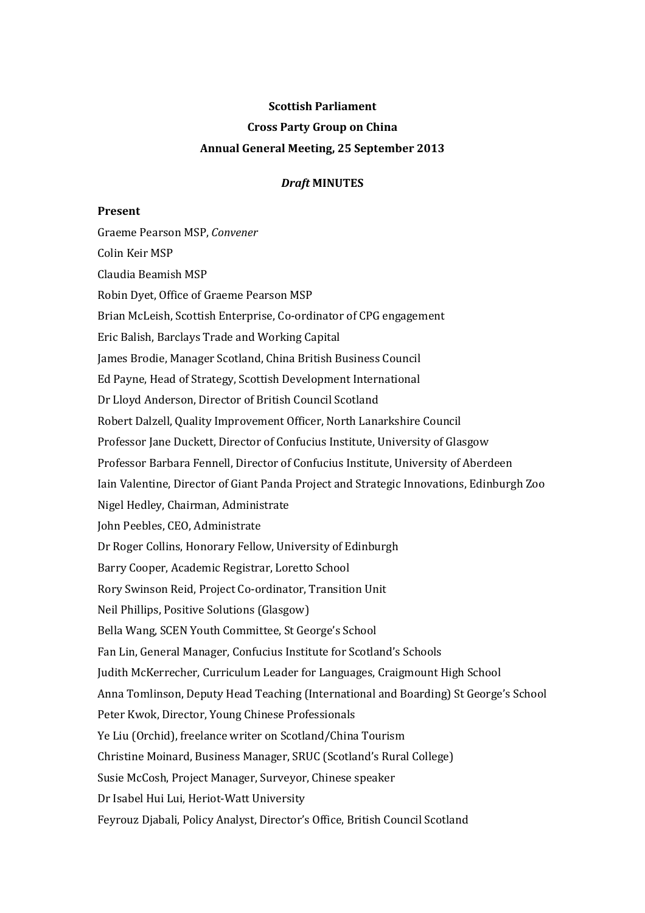# **Scottish Parliament Cross Party Group on China Annual General Meeting, 25 September 2013**

# *Draft* **MINUTES**

## **Present**

Graeme Pearson MSP, *Convener* Colin Keir MSP Claudia Beamish MSP Robin Dyet, Office of Graeme Pearson MSP Brian McLeish, Scottish Enterprise, Co-ordinator of CPG engagement Eric Balish, Barclays Trade and Working Capital James Brodie, Manager Scotland, China British Business Council Ed Payne, Head of Strategy, Scottish Development International Dr Lloyd Anderson, Director of British Council Scotland Robert Dalzell, Quality Improvement Officer, North Lanarkshire Council Professor Jane Duckett, Director of Confucius Institute, University of Glasgow Professor Barbara Fennell, Director of Confucius Institute, University of Aberdeen Iain Valentine, Director of Giant Panda Project and Strategic Innovations, Edinburgh Zoo Nigel Hedley, Chairman, Administrate John Peebles, CEO, Administrate Dr Roger Collins, Honorary Fellow, University of Edinburgh Barry Cooper, Academic Registrar, Loretto School Rory Swinson Reid, Project Co-ordinator, Transition Unit Neil Phillips, Positive Solutions (Glasgow) Bella Wang, SCEN Youth Committee, St George's School Fan Lin, General Manager, Confucius Institute for Scotland's Schools Judith McKerrecher, Curriculum Leader for Languages, Craigmount High School Anna Tomlinson, Deputy Head Teaching (International and Boarding) St George's School Peter Kwok, Director, Young Chinese Professionals Ye Liu (Orchid), freelance writer on Scotland/China Tourism Christine Moinard, Business Manager, SRUC (Scotland's Rural College) Susie McCosh, Project Manager, Surveyor, Chinese speaker Dr Isabel Hui Lui, Heriot-Watt University Feyrouz Djabali, Policy Analyst, Director's Office, British Council Scotland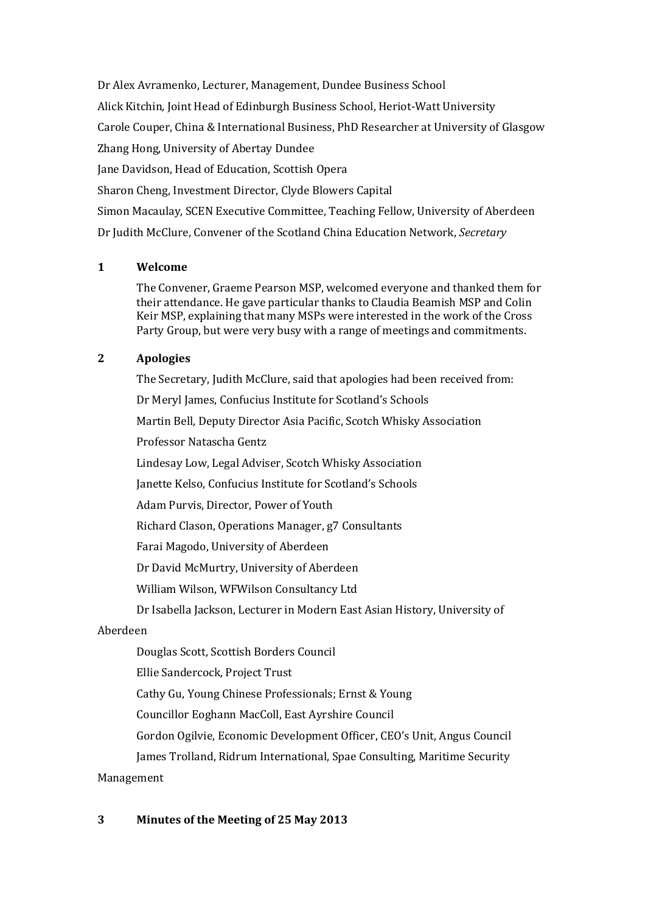Dr Alex Avramenko, Lecturer, Management, Dundee Business School Alick Kitchin, Joint Head of Edinburgh Business School, Heriot-Watt University Carole Couper, China & International Business, PhD Researcher at University of Glasgow Zhang Hong, University of Abertay Dundee Jane Davidson, Head of Education, Scottish Opera Sharon Cheng, Investment Director, Clyde Blowers Capital Simon Macaulay, SCEN Executive Committee, Teaching Fellow, University of Aberdeen Dr Judith McClure, Convener of the Scotland China Education Network, *Secretary*

# **1 Welcome**

The Convener, Graeme Pearson MSP, welcomed everyone and thanked them for their attendance. He gave particular thanks to Claudia Beamish MSP and Colin Keir MSP, explaining that many MSPs were interested in the work of the Cross Party Group, but were very busy with a range of meetings and commitments.

# **2 Apologies**

The Secretary, Judith McClure, said that apologies had been received from: Dr Meryl James, Confucius Institute for Scotland's Schools Martin Bell, Deputy Director Asia Pacific, Scotch Whisky Association Professor Natascha Gentz Lindesay Low, Legal Adviser, Scotch Whisky Association Janette Kelso, Confucius Institute for Scotland's Schools Adam Purvis, Director, Power of Youth Richard Clason, Operations Manager, g7 Consultants Farai Magodo, University of Aberdeen Dr David McMurtry, University of Aberdeen William Wilson, WFWilson Consultancy Ltd Dr Isabella Jackson, Lecturer in Modern East Asian History, University of

# Aberdeen

Douglas Scott, Scottish Borders Council

Ellie Sandercock, Project Trust

Cathy Gu, Young Chinese Professionals; Ernst & Young

Councillor Eoghann MacColl, East Ayrshire Council

Gordon Ogilvie, Economic Development Officer, CEO's Unit, Angus Council

James Trolland[, Ridrum International,](http://www.linkedin.com/search?search=&company=Ridrum+International&sortCriteria=R&keepFacets=true&trk=prof-0-ovw-curr_pos) [Spae Consulting,](http://www.linkedin.com/search?search=&company=Spae+Consulting&sortCriteria=R&keepFacets=true&trk=prof-0-ovw-curr_pos) [Maritime Security](http://www.linkedin.com/search?search=&company=Maritime+Security+Management&sortCriteria=R&keepFacets=true&trk=prof-0-ovw-curr_pos) 

# [Management](http://www.linkedin.com/search?search=&company=Maritime+Security+Management&sortCriteria=R&keepFacets=true&trk=prof-0-ovw-curr_pos)

# **3 Minutes of the Meeting of 25 May 2013**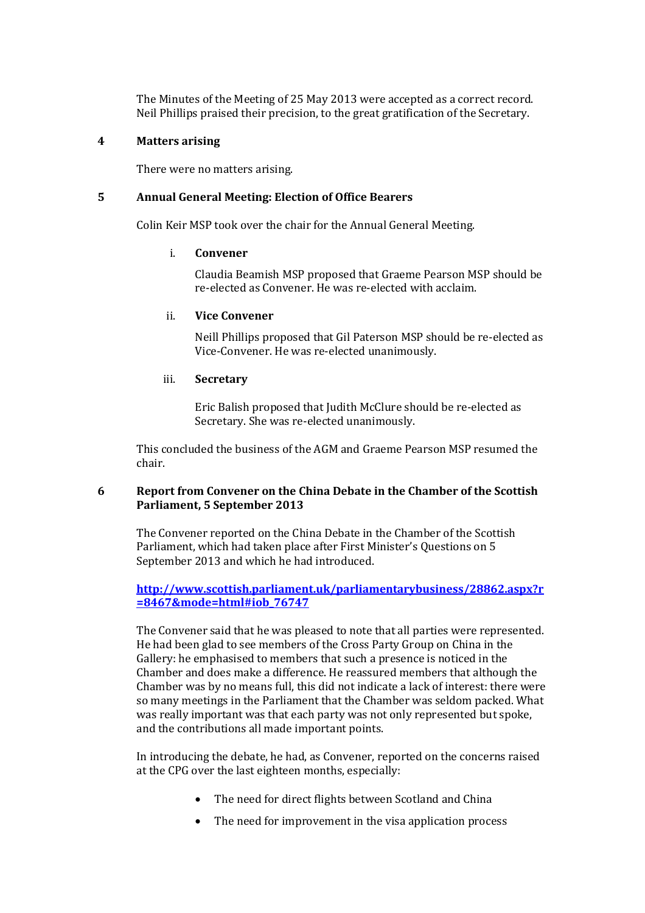The Minutes of the Meeting of 25 May 2013 were accepted as a correct record. Neil Phillips praised their precision, to the great gratification of the Secretary.

#### **4 Matters arising**

There were no matters arising.

## **5 Annual General Meeting: Election of Office Bearers**

Colin Keir MSP took over the chair for the Annual General Meeting.

#### i. **Convener**

Claudia Beamish MSP proposed that Graeme Pearson MSP should be re-elected as Convener. He was re-elected with acclaim.

## ii. **Vice Convener**

Neill Phillips proposed that Gil Paterson MSP should be re-elected as Vice-Convener. He was re-elected unanimously.

## iii. **Secretary**

Eric Balish proposed that Judith McClure should be re-elected as Secretary. She was re-elected unanimously.

This concluded the business of the AGM and Graeme Pearson MSP resumed the chair.

## **6 Report from Convener on the China Debate in the Chamber of the Scottish Parliament, 5 September 2013**

The Convener reported on the China Debate in the Chamber of the Scottish Parliament, which had taken place after First Minister's Questions on 5 September 2013 and which he had introduced.

# **[http://www.scottish.parliament.uk/parliamentarybusiness/28862.aspx?r](http://www.scottish.parliament.uk/parliamentarybusiness/28862.aspx?r=8467&mode=html#iob_76747) [=8467&mode=html#iob\\_76747](http://www.scottish.parliament.uk/parliamentarybusiness/28862.aspx?r=8467&mode=html#iob_76747)**

The Convener said that he was pleased to note that all parties were represented. He had been glad to see members of the Cross Party Group on China in the Gallery: he emphasised to members that such a presence is noticed in the Chamber and does make a difference. He reassured members that although the Chamber was by no means full, this did not indicate a lack of interest: there were so many meetings in the Parliament that the Chamber was seldom packed. What was really important was that each party was not only represented but spoke, and the contributions all made important points.

In introducing the debate, he had, as Convener, reported on the concerns raised at the CPG over the last eighteen months, especially:

- The need for direct flights between Scotland and China
- The need for improvement in the visa application process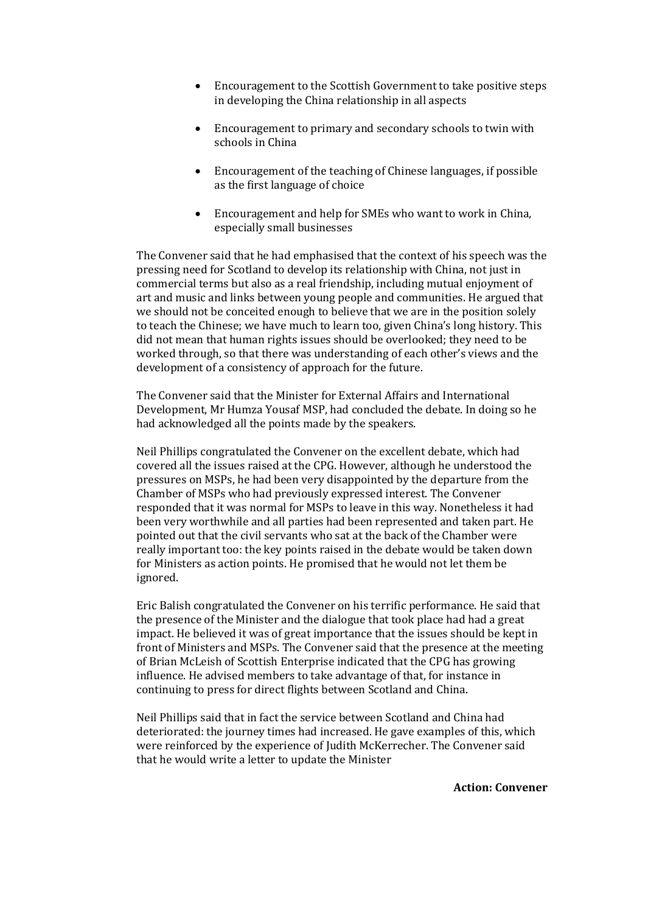- Encouragement to the Scottish Government to take positive steps in developing the China relationship in all aspects
- Encouragement to primary and secondary schools to twin with schools in China
- Encouragement of the teaching of Chinese languages, if possible as the first language of choice
- Encouragement and help for SMEs who want to work in China, especially small businesses

The Convener said that he had emphasised that the context of his speech was the pressing need for Scotland to develop its relationship with China, not just in commercial terms but also as a real friendship, including mutual enjoyment of art and music and links between young people and communities. He argued that we should not be conceited enough to believe that we are in the position solely to teach the Chinese; we have much to learn too, given China's long history. This did not mean that human rights issues should be overlooked; they need to be worked through, so that there was understanding of each other's views and the development of a consistency of approach for the future.

The Convener said that the Minister for External Affairs and International Development, Mr Humza Yousaf MSP, had concluded the debate. In doing so he had acknowledged all the points made by the speakers.

Neil Phillips congratulated the Convener on the excellent debate, which had covered all the issues raised at the CPG. However, although he understood the pressures on MSPs, he had been very disappointed by the departure from the Chamber of MSPs who had previously expressed interest. The Convener responded that it was normal for MSPs to leave in this way. Nonetheless it had been very worthwhile and all parties had been represented and taken part. He pointed out that the civil servants who sat at the back of the Chamber were really important too: the key points raised in the debate would be taken down for Ministers as action points. He promised that he would not let them be ignored.

Eric Balish congratulated the Convener on his terrific performance. He said that the presence of the Minister and the dialogue that took place had had a great impact. He believed it was of great importance that the issues should be kept in front of Ministers and MSPs. The Convener said that the presence at the meeting of Brian McLeish of Scottish Enterprise indicated that the CPG has growing influence. He advised members to take advantage of that, for instance in continuing to press for direct flights between Scotland and China.

Neil Phillips said that in fact the service between Scotland and China had deteriorated: the journey times had increased. He gave examples of this, which were reinforced by the experience of Judith McKerrecher. The Convener said that he would write a letter to update the Minister

**Action: Convener**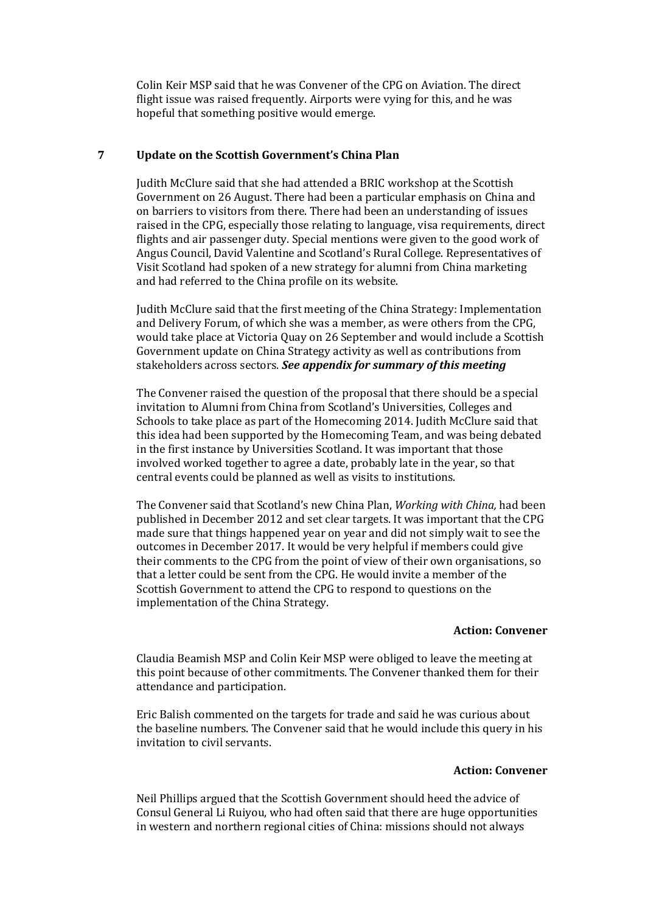Colin Keir MSP said that he was Convener of the CPG on Aviation. The direct flight issue was raised frequently. Airports were vying for this, and he was hopeful that something positive would emerge.

#### **7 Update on the Scottish Government's China Plan**

Judith McClure said that she had attended a BRIC workshop at the Scottish Government on 26 August. There had been a particular emphasis on China and on barriers to visitors from there. There had been an understanding of issues raised in the CPG, especially those relating to language, visa requirements, direct flights and air passenger duty. Special mentions were given to the good work of Angus Council, David Valentine and Scotland's Rural College. Representatives of Visit Scotland had spoken of a new strategy for alumni from China marketing and had referred to the China profile on its website.

Judith McClure said that the first meeting of the China Strategy: Implementation and Delivery Forum, of which she was a member, as were others from the CPG, would take place at Victoria Quay on 26 September and would include a Scottish Government update on China Strategy activity as well as contributions from stakeholders across sectors. *See appendix for summary of this meeting*

The Convener raised the question of the proposal that there should be a special invitation to Alumni from China from Scotland's Universities, Colleges and Schools to take place as part of the Homecoming 2014. Judith McClure said that this idea had been supported by the Homecoming Team, and was being debated in the first instance by Universities Scotland. It was important that those involved worked together to agree a date, probably late in the year, so that central events could be planned as well as visits to institutions.

The Convener said that Scotland's new China Plan, *Working with China,* had been published in December 2012 and set clear targets. It was important that the CPG made sure that things happened year on year and did not simply wait to see the outcomes in December 2017. It would be very helpful if members could give their comments to the CPG from the point of view of their own organisations, so that a letter could be sent from the CPG. He would invite a member of the Scottish Government to attend the CPG to respond to questions on the implementation of the China Strategy.

#### **Action: Convener**

Claudia Beamish MSP and Colin Keir MSP were obliged to leave the meeting at this point because of other commitments. The Convener thanked them for their attendance and participation.

Eric Balish commented on the targets for trade and said he was curious about the baseline numbers. The Convener said that he would include this query in his invitation to civil servants.

#### **Action: Convener**

Neil Phillips argued that the Scottish Government should heed the advice of Consul General Li Ruiyou, who had often said that there are huge opportunities in western and northern regional cities of China: missions should not always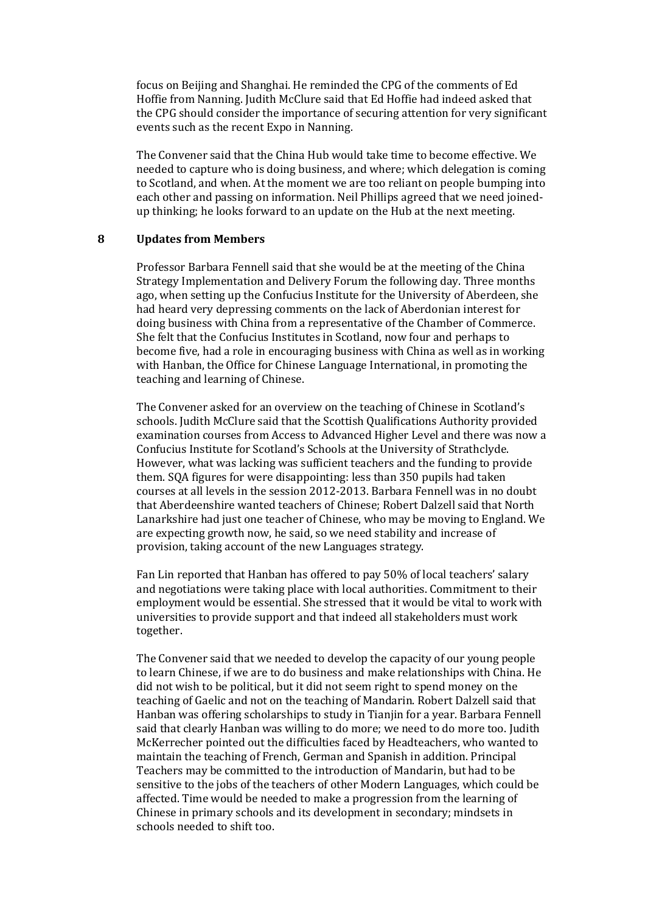focus on Beijing and Shanghai. He reminded the CPG of the comments of Ed Hoffie from Nanning. Judith McClure said that Ed Hoffie had indeed asked that the CPG should consider the importance of securing attention for very significant events such as the recent Expo in Nanning.

The Convener said that the China Hub would take time to become effective. We needed to capture who is doing business, and where; which delegation is coming to Scotland, and when. At the moment we are too reliant on people bumping into each other and passing on information. Neil Phillips agreed that we need joinedup thinking; he looks forward to an update on the Hub at the next meeting.

#### **8 Updates from Members**

Professor Barbara Fennell said that she would be at the meeting of the China Strategy Implementation and Delivery Forum the following day. Three months ago, when setting up the Confucius Institute for the University of Aberdeen, she had heard very depressing comments on the lack of Aberdonian interest for doing business with China from a representative of the Chamber of Commerce. She felt that the Confucius Institutes in Scotland, now four and perhaps to become five, had a role in encouraging business with China as well as in working with Hanban, the Office for Chinese Language International, in promoting the teaching and learning of Chinese.

The Convener asked for an overview on the teaching of Chinese in Scotland's schools. Judith McClure said that the Scottish Qualifications Authority provided examination courses from Access to Advanced Higher Level and there was now a Confucius Institute for Scotland's Schools at the University of Strathclyde. However, what was lacking was sufficient teachers and the funding to provide them. SQA figures for were disappointing: less than 350 pupils had taken courses at all levels in the session 2012-2013. Barbara Fennell was in no doubt that Aberdeenshire wanted teachers of Chinese; Robert Dalzell said that North Lanarkshire had just one teacher of Chinese, who may be moving to England. We are expecting growth now, he said, so we need stability and increase of provision, taking account of the new Languages strategy.

Fan Lin reported that Hanban has offered to pay 50% of local teachers' salary and negotiations were taking place with local authorities. Commitment to their employment would be essential. She stressed that it would be vital to work with universities to provide support and that indeed all stakeholders must work together.

The Convener said that we needed to develop the capacity of our young people to learn Chinese, if we are to do business and make relationships with China. He did not wish to be political, but it did not seem right to spend money on the teaching of Gaelic and not on the teaching of Mandarin. Robert Dalzell said that Hanban was offering scholarships to study in Tianjin for a year. Barbara Fennell said that clearly Hanban was willing to do more; we need to do more too. Judith McKerrecher pointed out the difficulties faced by Headteachers, who wanted to maintain the teaching of French, German and Spanish in addition. Principal Teachers may be committed to the introduction of Mandarin, but had to be sensitive to the jobs of the teachers of other Modern Languages, which could be affected. Time would be needed to make a progression from the learning of Chinese in primary schools and its development in secondary; mindsets in schools needed to shift too.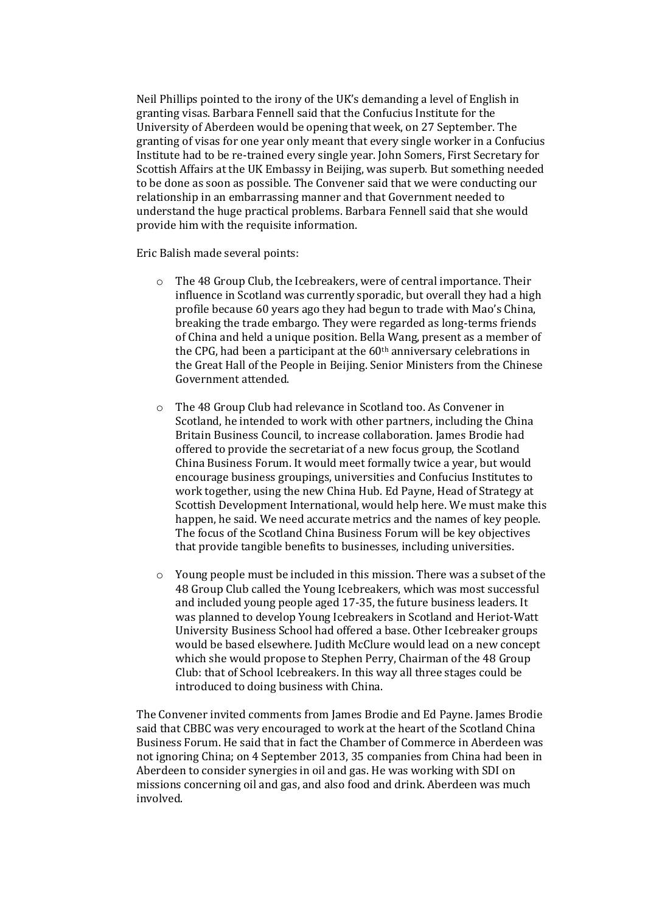Neil Phillips pointed to the irony of the UK's demanding a level of English in granting visas. Barbara Fennell said that the Confucius Institute for the University of Aberdeen would be opening that week, on 27 September. The granting of visas for one year only meant that every single worker in a Confucius Institute had to be re-trained every single year. John Somers, First Secretary for Scottish Affairs at the UK Embassy in Beijing, was superb. But something needed to be done as soon as possible. The Convener said that we were conducting our relationship in an embarrassing manner and that Government needed to understand the huge practical problems. Barbara Fennell said that she would provide him with the requisite information.

Eric Balish made several points:

- o The 48 Group Club, the Icebreakers, were of central importance. Their influence in Scotland was currently sporadic, but overall they had a high profile because 60 years ago they had begun to trade with Mao's China, breaking the trade embargo. They were regarded as long-terms friends of China and held a unique position. Bella Wang, present as a member of the CPG, had been a participant at the  $60<sup>th</sup>$  anniversary celebrations in the Great Hall of the People in Beijing. Senior Ministers from the Chinese Government attended.
- o The 48 Group Club had relevance in Scotland too. As Convener in Scotland, he intended to work with other partners, including the China Britain Business Council, to increase collaboration. James Brodie had offered to provide the secretariat of a new focus group, the Scotland China Business Forum. It would meet formally twice a year, but would encourage business groupings, universities and Confucius Institutes to work together, using the new China Hub. Ed Payne, Head of Strategy at Scottish Development International, would help here. We must make this happen, he said. We need accurate metrics and the names of key people. The focus of the Scotland China Business Forum will be key objectives that provide tangible benefits to businesses, including universities.
- o Young people must be included in this mission. There was a subset of the 48 Group Club called the Young Icebreakers, which was most successful and included young people aged 17-35, the future business leaders. It was planned to develop Young Icebreakers in Scotland and Heriot-Watt University Business School had offered a base. Other Icebreaker groups would be based elsewhere. Judith McClure would lead on a new concept which she would propose to Stephen Perry, Chairman of the 48 Group Club: that of School Icebreakers. In this way all three stages could be introduced to doing business with China.

The Convener invited comments from James Brodie and Ed Payne. James Brodie said that CBBC was very encouraged to work at the heart of the Scotland China Business Forum. He said that in fact the Chamber of Commerce in Aberdeen was not ignoring China; on 4 September 2013, 35 companies from China had been in Aberdeen to consider synergies in oil and gas. He was working with SDI on missions concerning oil and gas, and also food and drink. Aberdeen was much involved.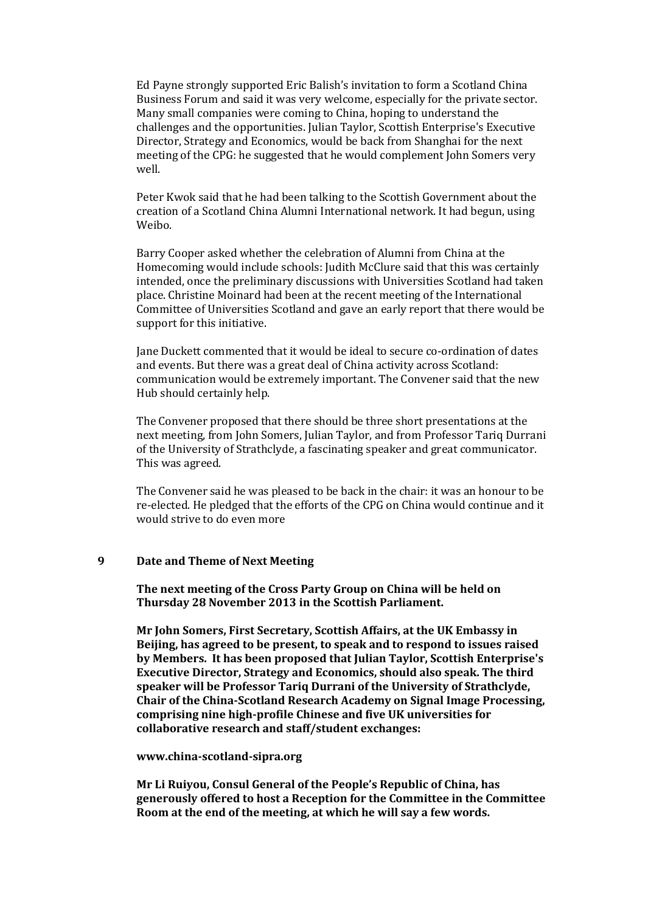Ed Payne strongly supported Eric Balish's invitation to form a Scotland China Business Forum and said it was very welcome, especially for the private sector. Many small companies were coming to China, hoping to understand the challenges and the opportunities. Julian Taylor, Scottish Enterprise's Executive Director, Strategy and Economics, would be back from Shanghai for the next meeting of the CPG: he suggested that he would complement John Somers very well.

Peter Kwok said that he had been talking to the Scottish Government about the creation of a Scotland China Alumni International network. It had begun, using Weibo.

Barry Cooper asked whether the celebration of Alumni from China at the Homecoming would include schools: Judith McClure said that this was certainly intended, once the preliminary discussions with Universities Scotland had taken place. Christine Moinard had been at the recent meeting of the International Committee of Universities Scotland and gave an early report that there would be support for this initiative.

Jane Duckett commented that it would be ideal to secure co-ordination of dates and events. But there was a great deal of China activity across Scotland: communication would be extremely important. The Convener said that the new Hub should certainly help.

The Convener proposed that there should be three short presentations at the next meeting, from John Somers, Julian Taylor, and from Professor Tariq Durrani of the University of Strathclyde, a fascinating speaker and great communicator. This was agreed.

The Convener said he was pleased to be back in the chair: it was an honour to be re-elected. He pledged that the efforts of the CPG on China would continue and it would strive to do even more

#### **9 Date and Theme of Next Meeting**

**The next meeting of the Cross Party Group on China will be held on Thursday 28 November 2013 in the Scottish Parliament.**

**Mr John Somers, First Secretary, Scottish Affairs, at the UK Embassy in Beijing, has agreed to be present, to speak and to respond to issues raised by Members. It has been proposed that Julian Taylor, Scottish Enterprise's Executive Director, Strategy and Economics, should also speak. The third speaker will be Professor Tariq Durrani of the University of Strathclyde, Chair of the China-Scotland Research Academy on Signal Image Processing, comprising nine high-profile Chinese and five UK universities for collaborative research and staff/student exchanges:**

#### **www.china-scotland-sipra.org**

**Mr Li Ruiyou, Consul General of the People's Republic of China, has generously offered to host a Reception for the Committee in the Committee Room at the end of the meeting, at which he will say a few words.**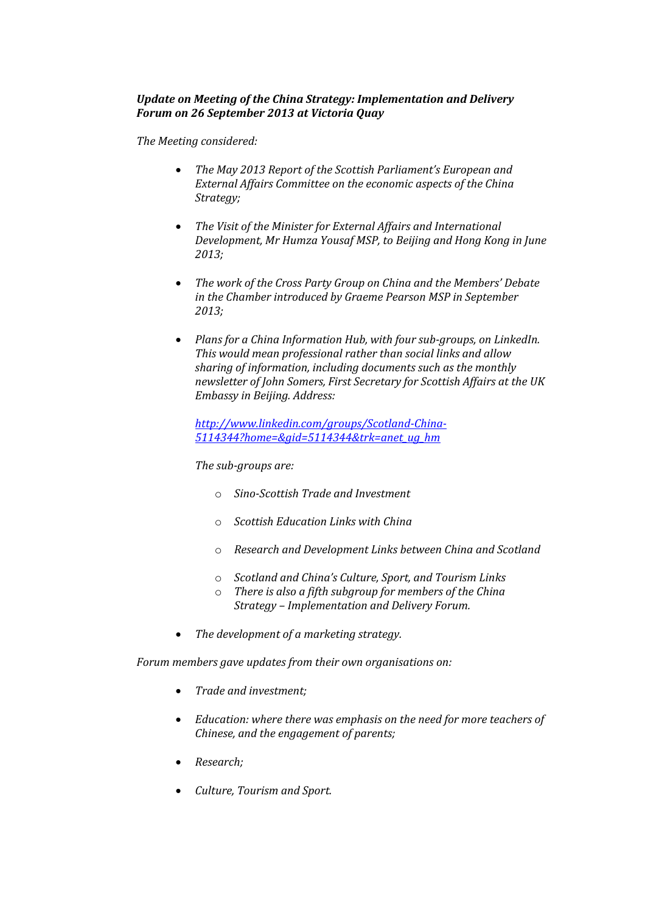## *Update on Meeting of the China Strategy: Implementation and Delivery Forum on 26 September 2013 at Victoria Quay*

*The Meeting considered:*

- *The May 2013 Report of the Scottish Parliament's European and External Affairs Committee on the economic aspects of the China Strategy;*
- *The Visit of the Minister for External Affairs and International Development, Mr Humza Yousaf MSP, to Beijing and Hong Kong in June 2013;*
- *The work of the Cross Party Group on China and the Members' Debate in the Chamber introduced by Graeme Pearson MSP in September 2013;*
- *Plans for a China Information Hub, with four sub-groups, on LinkedIn. This would mean professional rather than social links and allow sharing of information, including documents such as the monthly newsletter of John Somers, First Secretary for Scottish Affairs at the UK Embassy in Beijing. Address:*

*[http://www.linkedin.com/groups/Scotland-China-](http://www.linkedin.com/groups/Scotland-China-5114344?home=&gid=5114344&trk=anet_ug_hm)[5114344?home=&gid=5114344&trk=anet\\_ug\\_hm](http://www.linkedin.com/groups/Scotland-China-5114344?home=&gid=5114344&trk=anet_ug_hm)*

*The sub-groups are:*

- o *Sino-Scottish Trade and Investment*
- o *Scottish Education Links with China*
- o *Research and Development Links between China and Scotland*
- o *Scotland and China's Culture, Sport, and Tourism Links*
- o *There is also a fifth subgroup for members of the China Strategy – Implementation and Delivery Forum.*
- *The development of a marketing strategy.*

*Forum members gave updates from their own organisations on:*

- *Trade and investment;*
- *Education: where there was emphasis on the need for more teachers of Chinese, and the engagement of parents;*
- *Research;*
- *Culture, Tourism and Sport.*